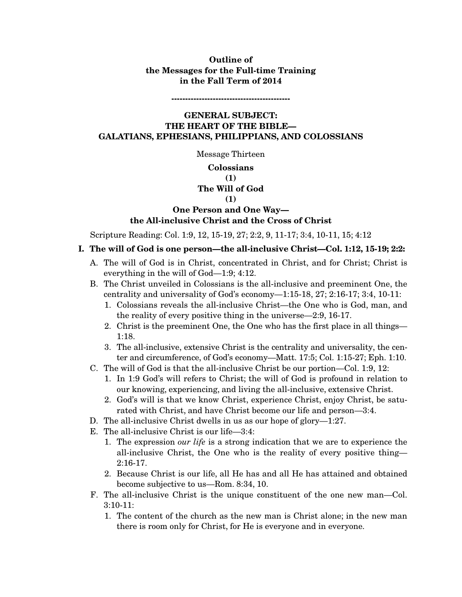# **Outline of the Messages for the Full-time Training in the Fall Term of 2014**

**-------------------------------------------** 

**GENERAL SUBJECT: THE HEART OF THE BIBLE— GALATIANS, EPHESIANS, PHILIPPIANS, AND COLOSSIANS** 

Message Thirteen

## **Colossians**

### **(1)**

### **The Will of God**

#### **(1)**

## **One Person and One Way the All-inclusive Christ and the Cross of Christ**

Scripture Reading: Col. 1:9, 12, 15-19, 27; 2:2, 9, 11-17; 3:4, 10-11, 15; 4:12

- **I. The will of God is one person—the all-inclusive Christ—Col. 1:12, 15-19; 2:2:** 
	- A. The will of God is in Christ, concentrated in Christ, and for Christ; Christ is everything in the will of God—1:9; 4:12.
	- B. The Christ unveiled in Colossians is the all-inclusive and preeminent One, the centrality and universality of God's economy—1:15-18, 27; 2:16-17; 3:4, 10-11:
		- 1. Colossians reveals the all-inclusive Christ—the One who is God, man, and the reality of every positive thing in the universe—2:9, 16-17.
		- 2. Christ is the preeminent One, the One who has the first place in all things— 1:18.
		- 3. The all-inclusive, extensive Christ is the centrality and universality, the center and circumference, of God's economy—Matt. 17:5; Col. 1:15-27; Eph. 1:10.
	- C. The will of God is that the all-inclusive Christ be our portion—Col. 1:9, 12:
		- 1. In 1:9 God's will refers to Christ; the will of God is profound in relation to our knowing, experiencing, and living the all-inclusive, extensive Christ.
		- 2. God's will is that we know Christ, experience Christ, enjoy Christ, be saturated with Christ, and have Christ become our life and person—3:4.
	- D. The all-inclusive Christ dwells in us as our hope of glory—1:27.
	- E. The all-inclusive Christ is our life—3:4:
		- 1. The expression *our life* is a strong indication that we are to experience the all-inclusive Christ, the One who is the reality of every positive thing— 2:16-17.
		- 2. Because Christ is our life, all He has and all He has attained and obtained become subjective to us—Rom. 8:34, 10.
	- F. The all-inclusive Christ is the unique constituent of the one new man—Col. 3:10-11:
		- 1. The content of the church as the new man is Christ alone; in the new man there is room only for Christ, for He is everyone and in everyone.